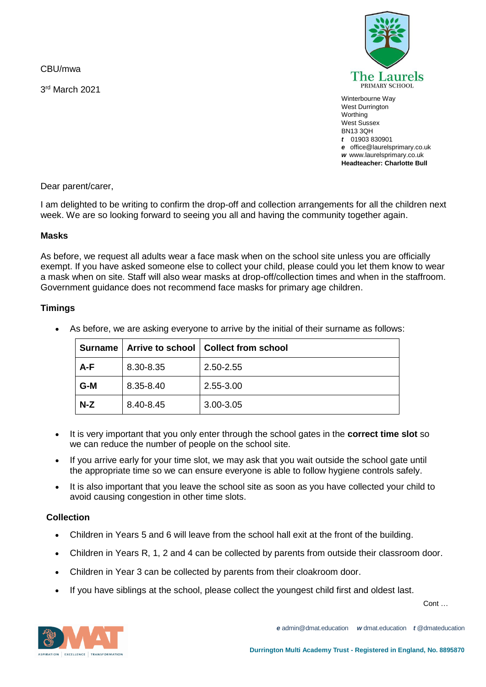CBU/mwa

3 rd March 2021



Winterbourne Way West Durrington **Worthing** West Sussex BN13 3QH *t* 01903 830901 *e* office@laurelsprimary.co.uk *w* www.laurelsprimary.co.uk **Headteacher: Charlotte Bull**

Dear parent/carer,

I am delighted to be writing to confirm the drop-off and collection arrangements for all the children next week. We are so looking forward to seeing you all and having the community together again.

# **Masks**

As before, we request all adults wear a face mask when on the school site unless you are officially exempt. If you have asked someone else to collect your child, please could you let them know to wear a mask when on site. Staff will also wear masks at drop-off/collection times and when in the staffroom. Government guidance does not recommend face masks for primary age children.

# **Timings**

| Surname |           | Arrive to school   Collect from school |
|---------|-----------|----------------------------------------|
| A-F     | 8.30-8.35 | 2.50-2.55                              |
| G-M     | 8.35-8.40 | 2.55-3.00                              |
| $N-Z$   | 8.40-8.45 | 3.00-3.05                              |

• As before, we are asking everyone to arrive by the initial of their surname as follows:

- It is very important that you only enter through the school gates in the **correct time slot** so we can reduce the number of people on the school site.
- If you arrive early for your time slot, we may ask that you wait outside the school gate until the appropriate time so we can ensure everyone is able to follow hygiene controls safely.
- It is also important that you leave the school site as soon as you have collected your child to avoid causing congestion in other time slots.

# **Collection**

- Children in Years 5 and 6 will leave from the school hall exit at the front of the building.
- Children in Years R, 1, 2 and 4 can be collected by parents from outside their classroom door.
- Children in Year 3 can be collected by parents from their cloakroom door.
- If you have siblings at the school, please collect the youngest child first and oldest last.

Cont …



*e* admin@dmat.education *w* dmat.education *t* @dmateducation